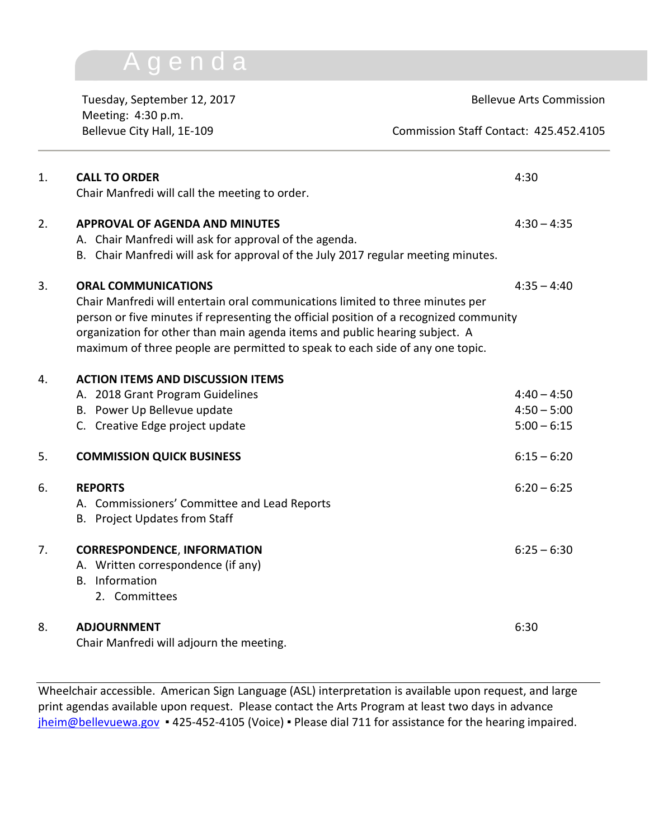## Agenda

Tuesday, September 12, 2017 and the state of the Bellevue Arts Commission Meeting: 4:30 p.m.<br>Bellevue City Hall, 1E-109

Commission Staff Contact: 425.452.4105

| 1. | <b>CALL TO ORDER</b><br>Chair Manfredi will call the meeting to order.                                                                                                                                                                                                                                                                                                 | 4:30                                            |
|----|------------------------------------------------------------------------------------------------------------------------------------------------------------------------------------------------------------------------------------------------------------------------------------------------------------------------------------------------------------------------|-------------------------------------------------|
| 2. | <b>APPROVAL OF AGENDA AND MINUTES</b><br>A. Chair Manfredi will ask for approval of the agenda.<br>B. Chair Manfredi will ask for approval of the July 2017 regular meeting minutes.                                                                                                                                                                                   | $4:30 - 4:35$                                   |
| 3. | <b>ORAL COMMUNICATIONS</b><br>Chair Manfredi will entertain oral communications limited to three minutes per<br>person or five minutes if representing the official position of a recognized community<br>organization for other than main agenda items and public hearing subject. A<br>maximum of three people are permitted to speak to each side of any one topic. | $4:35 - 4:40$                                   |
| 4. | <b>ACTION ITEMS AND DISCUSSION ITEMS</b><br>A. 2018 Grant Program Guidelines<br>B. Power Up Bellevue update<br>C. Creative Edge project update                                                                                                                                                                                                                         | $4:40 - 4:50$<br>$4:50 - 5:00$<br>$5:00 - 6:15$ |
| 5. | <b>COMMISSION QUICK BUSINESS</b>                                                                                                                                                                                                                                                                                                                                       | $6:15 - 6:20$                                   |
| 6. | <b>REPORTS</b><br>A. Commissioners' Committee and Lead Reports<br>B. Project Updates from Staff                                                                                                                                                                                                                                                                        | $6:20 - 6:25$                                   |
| 7. | <b>CORRESPONDENCE, INFORMATION</b><br>A. Written correspondence (if any)<br><b>B.</b> Information<br>2. Committees                                                                                                                                                                                                                                                     | $6:25 - 6:30$                                   |
| 8. | <b>ADJOURNMENT</b><br>Chair Manfredi will adjourn the meeting.                                                                                                                                                                                                                                                                                                         | 6:30                                            |

Wheelchair accessible. American Sign Language (ASL) interpretation is available upon request, and large print agendas available upon request. Please contact the Arts Program at least two days in advance [jheim@bellevuewa.gov](mailto:jheim@bellevuewa.gov) • 425-452-4105 (Voice) • Please dial 711 for assistance for the hearing impaired.